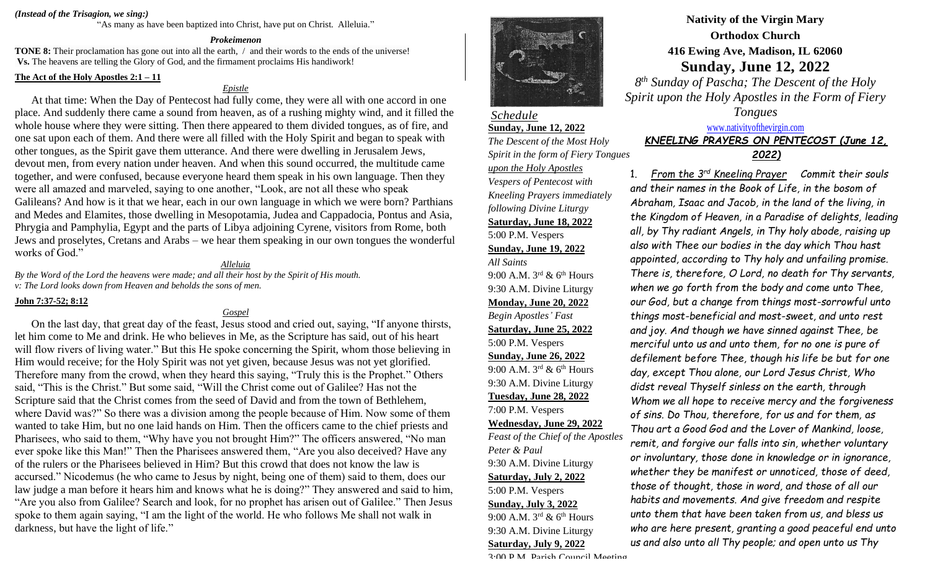## *(Instead of the Trisagion, we sing:)*

"As many as have been baptized into Christ, have put on Christ. Alleluia."

### *Prokeimenon*

**TONE 8:** Their proclamation has gone out into all the earth, / and their words to the ends of the universe! **Vs.** The heavens are telling the Glory of God, and the firmament proclaims His handiwork!

# **The Act of the Holy Apostles 2:1 – 11**

# *Epistle*

At that time: When the Day of Pentecost had fully come, they were all with one accord in one place. And suddenly there came a sound from heaven, as of a rushing mighty wind, and it filled the whole house where they were sitting. Then there appeared to them divided tongues, as of fire, and one sat upon each of them. And there were all filled with the Holy Spirit and began to speak with other tongues, as the Spirit gave them utterance. And there were dwelling in Jerusalem Jews, devout men, from every nation under heaven. And when this sound occurred, the multitude came together, and were confused, because everyone heard them speak in his own language. Then they were all amazed and marveled, saying to one another, "Look, are not all these who speak Galileans? And how is it that we hear, each in our own language in which we were born? Parthians and Medes and Elamites, those dwelling in Mesopotamia, Judea and Cappadocia, Pontus and Asia, Phrygia and Pamphylia, Egypt and the parts of Libya adjoining Cyrene, visitors from Rome, both Jews and proselytes, Cretans and Arabs – we hear them speaking in our own tongues the wonderful works of God."

# *Alleluia*

*By the Word of the Lord the heavens were made; and all their host by the Spirit of His mouth. v: The Lord looks down from Heaven and beholds the sons of men.*

### **John 7:37-52; 8:12**

## *Gospel*

On the last day, that great day of the feast, Jesus stood and cried out, saying, "If anyone thirsts, let him come to Me and drink. He who believes in Me, as the Scripture has said, out of his heart will flow rivers of living water." But this He spoke concerning the Spirit, whom those believing in Him would receive; for the Holy Spirit was not yet given, because Jesus was not yet glorified. Therefore many from the crowd, when they heard this saying, "Truly this is the Prophet." Others said, "This is the Christ." But some said, "Will the Christ come out of Galilee? Has not the Scripture said that the Christ comes from the seed of David and from the town of Bethlehem, where David was?" So there was a division among the people because of Him. Now some of them wanted to take Him, but no one laid hands on Him. Then the officers came to the chief priests and Pharisees, who said to them, "Why have you not brought Him?" The officers answered, "No man ever spoke like this Man!" Then the Pharisees answered them, "Are you also deceived? Have any of the rulers or the Pharisees believed in Him? But this crowd that does not know the law is accursed." Nicodemus (he who came to Jesus by night, being one of them) said to them, does our law judge a man before it hears him and knows what he is doing?" They answered and said to him, "Are you also from Galilee? Search and look, for no prophet has arisen out of Galilee." Then Jesus spoke to them again saying, "I am the light of the world. He who follows Me shall not walk in darkness, but have the light of life."



# *Schedule* **Sunday, June 12, 2022**

*The Descent of the Most Holy Spirit in the form of Fiery Tongues upon the Holy Apostles Vespers of Pentecost with Kneeling Prayers immediately following Divine Liturgy* **Saturday, June 18, 2022** 5:00 P.M. Vespers **Sunday, June 19, 2022** *All Saints* 9:00 A.M.  $3^{rd}$  & 6<sup>th</sup> Hours 9:30 A.M. Divine Liturgy **Monday, June 20, 2022** *Begin Apostles' Fast* **Saturday, June 25, 2022** 5:00 P.M. Vespers **Sunday, June 26, 2022** 9:00 A.M.  $3^{\text{rd}}$  & 6<sup>th</sup> Hours 9:30 A.M. Divine Liturgy **Tuesday, June 28, 2022** 7:00 P.M. Vespers **Wednesday, June 29, 2022** *Feast of the Chief of the Apostles Peter & Paul* 9:30 A.M. Divine Liturgy **Saturday, July 2, 2022** 5:00 P.M. Vespers **Sunday, July 3, 2022** 9:00 A.M.  $3<sup>rd</sup>$  & 6<sup>th</sup> Hours 9:30 A.M. Divine Liturgy **Saturday, July 9, 2022**

# **Nativity of the Virgin Mary Orthodox Church 416 Ewing Ave, Madison, IL 62060 Sunday, June 12, 2022**

*8 th Sunday of Pascha; The Descent of the Holy Spirit upon the Holy Apostles in the Form of Fiery Tongues*

# [www.nativityofthevirgin.com](http://www.nativityofthevirgin.com/) *KNEELING PRAYERS ON PENTECOST (June 12, 2022)*

1. *From the 3 rd Kneeling Prayer Commit their souls and their names in the Book of Life, in the bosom of Abraham, Isaac and Jacob, in the land of the living, in the Kingdom of Heaven, in a Paradise of delights, leading all, by Thy radiant Angels, in Thy holy abode, raising up also with Thee our bodies in the day which Thou hast appointed, according to Thy holy and unfailing promise. There is, therefore, O Lord, no death for Thy servants, when we go forth from the body and come unto Thee, our God, but a change from things most-sorrowful unto things most-beneficial and most-sweet, and unto rest and joy. And though we have sinned against Thee, be merciful unto us and unto them, for no one is pure of defilement before Thee, though his life be but for one day, except Thou alone, our Lord Jesus Christ, Who didst reveal Thyself sinless on the earth, through Whom we all hope to receive mercy and the forgiveness of sins. Do Thou, therefore, for us and for them, as Thou art a Good God and the Lover of Mankind, loose, remit, and forgive our falls into sin, whether voluntary or involuntary, those done in knowledge or in ignorance, whether they be manifest or unnoticed, those of deed, those of thought, those in word, and those of all our habits and movements. And give freedom and respite* 

*unto them that have been taken from us, and bless us who are here present, granting a good peaceful end unto us and also unto all Thy people; and open unto us Thy*